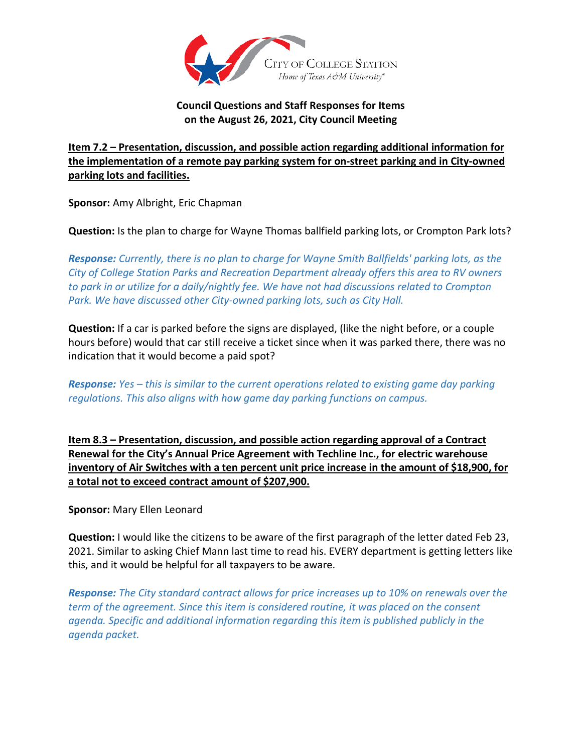

## **Council Questions and Staff Responses for Items on the August 26, 2021, City Council Meeting**

## **Item 7.2 – Presentation, discussion, and possible action regarding additional information for the implementation of a remote pay parking system for on-street parking and in City-owned parking lots and facilities.**

**Sponsor:** Amy Albright, Eric Chapman

**Question:** Is the plan to charge for Wayne Thomas ballfield parking lots, or Crompton Park lots?

*Response: Currently, there is no plan to charge for Wayne Smith Ballfields' parking lots, as the City of College Station Parks and Recreation Department already offers this area to RV owners to park in or utilize for a daily/nightly fee. We have not had discussions related to Crompton Park. We have discussed other City-owned parking lots, such as City Hall.*

**Question:** If a car is parked before the signs are displayed, (like the night before, or a couple hours before) would that car still receive a ticket since when it was parked there, there was no indication that it would become a paid spot?

*Response: Yes – this is similar to the current operations related to existing game day parking regulations. This also aligns with how game day parking functions on campus.*

**Item 8.3 – Presentation, discussion, and possible action regarding approval of a Contract Renewal for the City's Annual Price Agreement with Techline Inc., for electric warehouse inventory of Air Switches with a ten percent unit price increase in the amount of \$18,900, for a total not to exceed contract amount of \$207,900.**

**Sponsor:** Mary Ellen Leonard

**Question:** I would like the citizens to be aware of the first paragraph of the letter dated Feb 23, 2021. Similar to asking Chief Mann last time to read his. EVERY department is getting letters like this, and it would be helpful for all taxpayers to be aware.

*Response: The City standard contract allows for price increases up to 10% on renewals over the term of the agreement. Since this item is considered routine, it was placed on the consent agenda. Specific and additional information regarding this item is published publicly in the agenda packet.*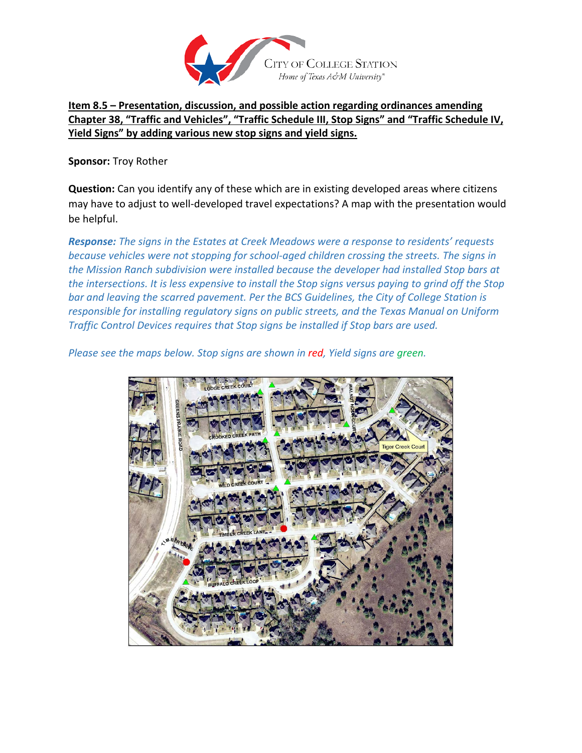

**Item 8.5 – Presentation, discussion, and possible action regarding ordinances amending Chapter 38, "Traffic and Vehicles", "Traffic Schedule III, Stop Signs" and "Traffic Schedule IV, Yield Signs" by adding various new stop signs and yield signs.**

**Sponsor:** Troy Rother

**Question:** Can you identify any of these which are in existing developed areas where citizens may have to adjust to well-developed travel expectations? A map with the presentation would be helpful.

*Response: The signs in the Estates at Creek Meadows were a response to residents' requests because vehicles were not stopping for school-aged children crossing the streets. The signs in the Mission Ranch subdivision were installed because the developer had installed Stop bars at the intersections. It is less expensive to install the Stop signs versus paying to grind off the Stop bar and leaving the scarred pavement. Per the BCS Guidelines, the City of College Station is responsible for installing regulatory signs on public streets, and the Texas Manual on Uniform Traffic Control Devices requires that Stop signs be installed if Stop bars are used.*

*Please see the maps below. Stop signs are shown in red, Yield signs are green.*

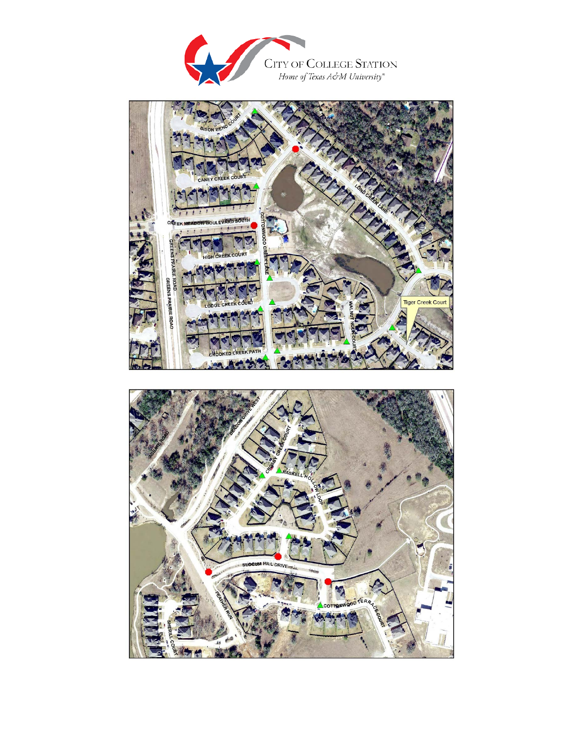